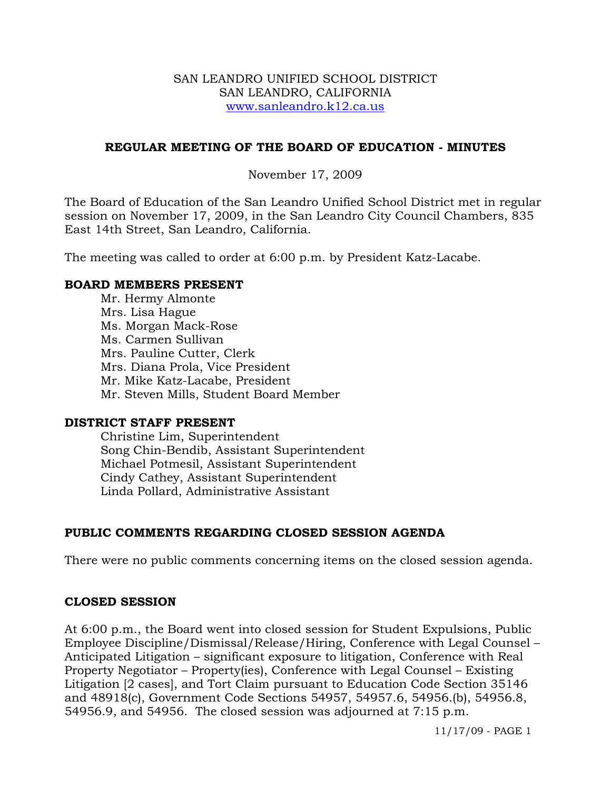#### SAN LEANDRO UNIFIED SCHOOL DISTRICT SAN LEANDRO, CALIFORNIA www.sanleandro.k12.ca.us

### **REGULAR MEETING OF THE BOARD OF EDUCATION - MINUTES**

### November 17, 2009

The Board of Education of the San Leandro Unified School District met in regular session on November 17, 2009, in the San Leandro City Council Chambers, 835 East 14th Street, San Leandro, California.

The meeting was called to order at 6:00 p.m. by President Katz-Lacabe.

#### **BOARD MEMBERS PRESENT**

Mr. Hermy Almonte Mrs. Lisa Hague Ms. Morgan Mack-Rose Ms. Carmen Sullivan Mrs. Pauline Cutter, Clerk Mrs. Diana Prola, Vice President Mr. Mike Katz-Lacabe, President Mr. Steven Mills, Student Board Member

#### **DISTRICT STAFF PRESENT**

Christine Lim, Superintendent Song Chin-Bendib, Assistant Superintendent Michael Potmesil, Assistant Superintendent Cindy Cathey, Assistant Superintendent Linda Pollard, Administrative Assistant

# **PUBLIC COMMENTS REGARDING CLOSED SESSION AGENDA**

There were no public comments concerning items on the closed session agenda.

#### **CLOSED SESSION**

At 6:00 p.m., the Board went into closed session for Student Expulsions, Public Employee Discipline/Dismissal/Release/Hiring, Conference with Legal Counsel – Anticipated Litigation – significant exposure to litigation, Conference with Real Property Negotiator – Property(ies), Conference with Legal Counsel – Existing Litigation [2 cases], and Tort Claim pursuant to Education Code Section 35146 and 48918(c), Government Code Sections 54957, 54957.6, 54956.(b), 54956.8, 54956.9, and 54956. The closed session was adjourned at 7:15 p.m.

11/17/09 - PAGE 1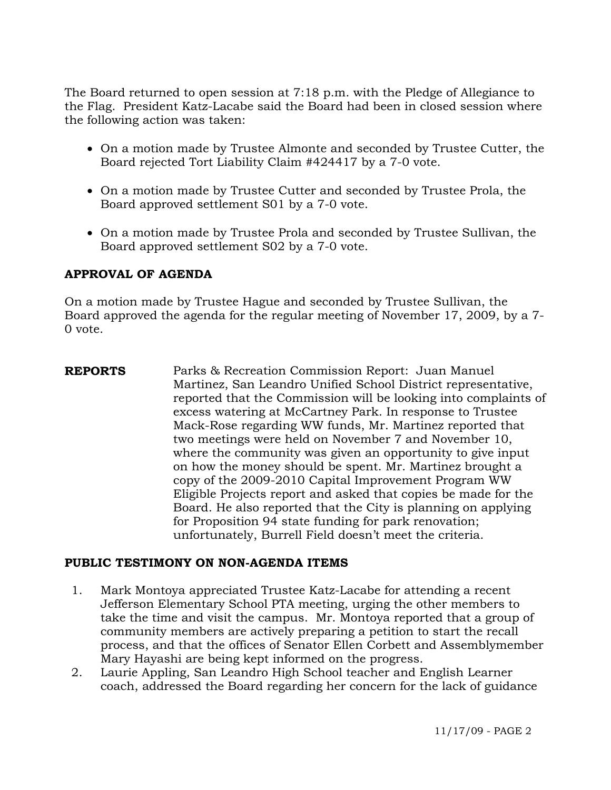The Board returned to open session at 7:18 p.m. with the Pledge of Allegiance to the Flag. President Katz-Lacabe said the Board had been in closed session where the following action was taken:

- On a motion made by Trustee Almonte and seconded by Trustee Cutter, the Board rejected Tort Liability Claim #424417 by a 7-0 vote.
- On a motion made by Trustee Cutter and seconded by Trustee Prola, the Board approved settlement S01 by a 7-0 vote.
- On a motion made by Trustee Prola and seconded by Trustee Sullivan, the Board approved settlement S02 by a 7-0 vote.

# **APPROVAL OF AGENDA**

On a motion made by Trustee Hague and seconded by Trustee Sullivan, the Board approved the agenda for the regular meeting of November 17, 2009, by a 7- 0 vote.

**REPORTS** Parks & Recreation Commission Report: Juan Manuel Martinez, San Leandro Unified School District representative, reported that the Commission will be looking into complaints of excess watering at McCartney Park. In response to Trustee Mack-Rose regarding WW funds, Mr. Martinez reported that two meetings were held on November 7 and November 10, where the community was given an opportunity to give input on how the money should be spent. Mr. Martinez brought a copy of the 2009-2010 Capital Improvement Program WW Eligible Projects report and asked that copies be made for the Board. He also reported that the City is planning on applying for Proposition 94 state funding for park renovation; unfortunately, Burrell Field doesn't meet the criteria.

# **PUBLIC TESTIMONY ON NON-AGENDA ITEMS**

- 1. Mark Montoya appreciated Trustee Katz-Lacabe for attending a recent Jefferson Elementary School PTA meeting, urging the other members to take the time and visit the campus. Mr. Montoya reported that a group of community members are actively preparing a petition to start the recall process, and that the offices of Senator Ellen Corbett and Assemblymember Mary Hayashi are being kept informed on the progress.
- 2. Laurie Appling, San Leandro High School teacher and English Learner coach, addressed the Board regarding her concern for the lack of guidance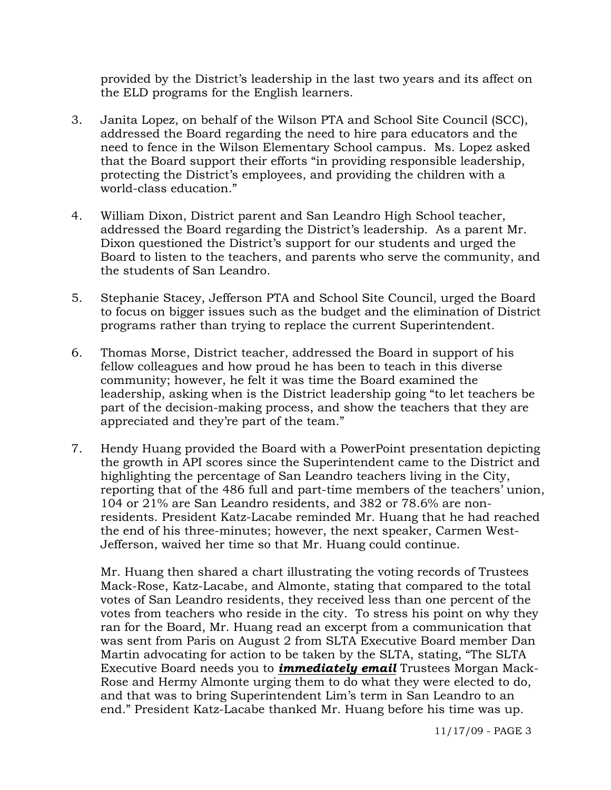provided by the District's leadership in the last two years and its affect on the ELD programs for the English learners.

- 3. Janita Lopez, on behalf of the Wilson PTA and School Site Council (SCC), addressed the Board regarding the need to hire para educators and the need to fence in the Wilson Elementary School campus. Ms. Lopez asked that the Board support their efforts "in providing responsible leadership, protecting the District's employees, and providing the children with a world-class education."
- 4. William Dixon, District parent and San Leandro High School teacher, addressed the Board regarding the District's leadership. As a parent Mr. Dixon questioned the District's support for our students and urged the Board to listen to the teachers, and parents who serve the community, and the students of San Leandro.
- 5. Stephanie Stacey, Jefferson PTA and School Site Council, urged the Board to focus on bigger issues such as the budget and the elimination of District programs rather than trying to replace the current Superintendent.
- 6. Thomas Morse, District teacher, addressed the Board in support of his fellow colleagues and how proud he has been to teach in this diverse community; however, he felt it was time the Board examined the leadership, asking when is the District leadership going "to let teachers be part of the decision-making process, and show the teachers that they are appreciated and they're part of the team."
- 7. Hendy Huang provided the Board with a PowerPoint presentation depicting the growth in API scores since the Superintendent came to the District and highlighting the percentage of San Leandro teachers living in the City, reporting that of the 486 full and part-time members of the teachers' union, 104 or 21% are San Leandro residents, and 382 or 78.6% are nonresidents. President Katz-Lacabe reminded Mr. Huang that he had reached the end of his three-minutes; however, the next speaker, Carmen West-Jefferson, waived her time so that Mr. Huang could continue.

Mr. Huang then shared a chart illustrating the voting records of Trustees Mack-Rose, Katz-Lacabe, and Almonte, stating that compared to the total votes of San Leandro residents, they received less than one percent of the votes from teachers who reside in the city. To stress his point on why they ran for the Board, Mr. Huang read an excerpt from a communication that was sent from Paris on August 2 from SLTA Executive Board member Dan Martin advocating for action to be taken by the SLTA, stating, "The SLTA Executive Board needs you to *immediately email* Trustees Morgan Mack-Rose and Hermy Almonte urging them to do what they were elected to do, and that was to bring Superintendent Lim's term in San Leandro to an end." President Katz-Lacabe thanked Mr. Huang before his time was up.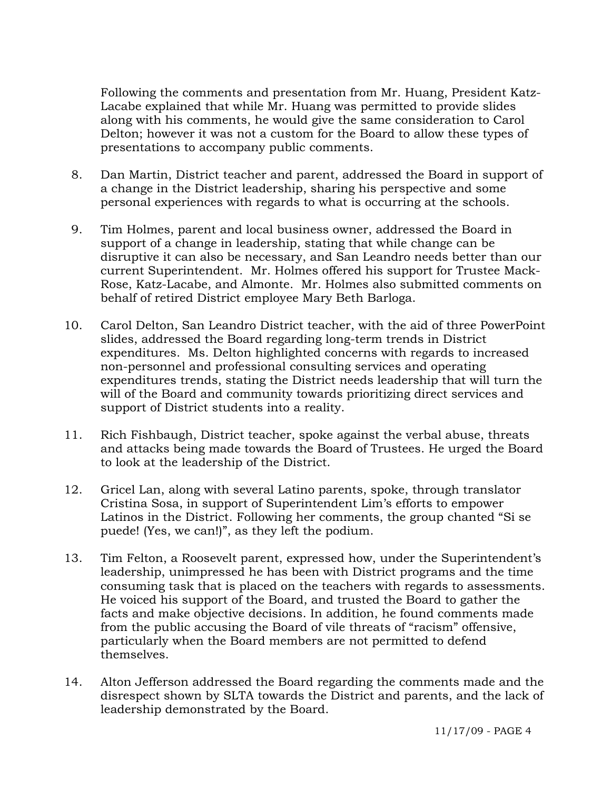Following the comments and presentation from Mr. Huang, President Katz-Lacabe explained that while Mr. Huang was permitted to provide slides along with his comments, he would give the same consideration to Carol Delton; however it was not a custom for the Board to allow these types of presentations to accompany public comments.

- 8. Dan Martin, District teacher and parent, addressed the Board in support of a change in the District leadership, sharing his perspective and some personal experiences with regards to what is occurring at the schools.
- 9. Tim Holmes, parent and local business owner, addressed the Board in support of a change in leadership, stating that while change can be disruptive it can also be necessary, and San Leandro needs better than our current Superintendent. Mr. Holmes offered his support for Trustee Mack-Rose, Katz-Lacabe, and Almonte. Mr. Holmes also submitted comments on behalf of retired District employee Mary Beth Barloga.
- 10. Carol Delton, San Leandro District teacher, with the aid of three PowerPoint slides, addressed the Board regarding long-term trends in District expenditures. Ms. Delton highlighted concerns with regards to increased non-personnel and professional consulting services and operating expenditures trends, stating the District needs leadership that will turn the will of the Board and community towards prioritizing direct services and support of District students into a reality.
- 11. Rich Fishbaugh, District teacher, spoke against the verbal abuse, threats and attacks being made towards the Board of Trustees. He urged the Board to look at the leadership of the District.
- 12. Gricel Lan, along with several Latino parents, spoke, through translator Cristina Sosa, in support of Superintendent Lim's efforts to empower Latinos in the District. Following her comments, the group chanted "Si se puede! (Yes, we can!)", as they left the podium.
- 13. Tim Felton, a Roosevelt parent, expressed how, under the Superintendent's leadership, unimpressed he has been with District programs and the time consuming task that is placed on the teachers with regards to assessments. He voiced his support of the Board, and trusted the Board to gather the facts and make objective decisions. In addition, he found comments made from the public accusing the Board of vile threats of "racism" offensive, particularly when the Board members are not permitted to defend themselves.
- 14. Alton Jefferson addressed the Board regarding the comments made and the disrespect shown by SLTA towards the District and parents, and the lack of leadership demonstrated by the Board.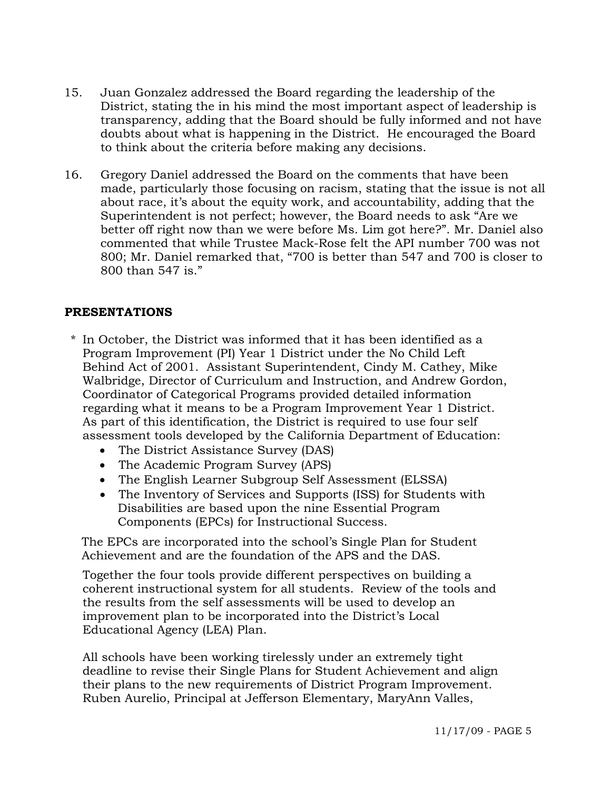- 15. Juan Gonzalez addressed the Board regarding the leadership of the District, stating the in his mind the most important aspect of leadership is transparency, adding that the Board should be fully informed and not have doubts about what is happening in the District. He encouraged the Board to think about the criteria before making any decisions.
- 16. Gregory Daniel addressed the Board on the comments that have been made, particularly those focusing on racism, stating that the issue is not all about race, it's about the equity work, and accountability, adding that the Superintendent is not perfect; however, the Board needs to ask "Are we better off right now than we were before Ms. Lim got here?". Mr. Daniel also commented that while Trustee Mack-Rose felt the API number 700 was not 800; Mr. Daniel remarked that, "700 is better than 547 and 700 is closer to 800 than 547 is."

# **PRESENTATIONS**

- \* In October, the District was informed that it has been identified as a Program Improvement (PI) Year 1 District under the No Child Left Behind Act of 2001. Assistant Superintendent, Cindy M. Cathey, Mike Walbridge, Director of Curriculum and Instruction, and Andrew Gordon, Coordinator of Categorical Programs provided detailed information regarding what it means to be a Program Improvement Year 1 District. As part of this identification, the District is required to use four self assessment tools developed by the California Department of Education:
	- The District Assistance Survey (DAS)
	- The Academic Program Survey (APS)
	- The English Learner Subgroup Self Assessment (ELSSA)
	- The Inventory of Services and Supports (ISS) for Students with Disabilities are based upon the nine Essential Program Components (EPCs) for Instructional Success.

 The EPCs are incorporated into the school's Single Plan for Student Achievement and are the foundation of the APS and the DAS.

 Together the four tools provide different perspectives on building a coherent instructional system for all students. Review of the tools and the results from the self assessments will be used to develop an improvement plan to be incorporated into the District's Local Educational Agency (LEA) Plan.

 All schools have been working tirelessly under an extremely tight deadline to revise their Single Plans for Student Achievement and align their plans to the new requirements of District Program Improvement. Ruben Aurelio, Principal at Jefferson Elementary, MaryAnn Valles,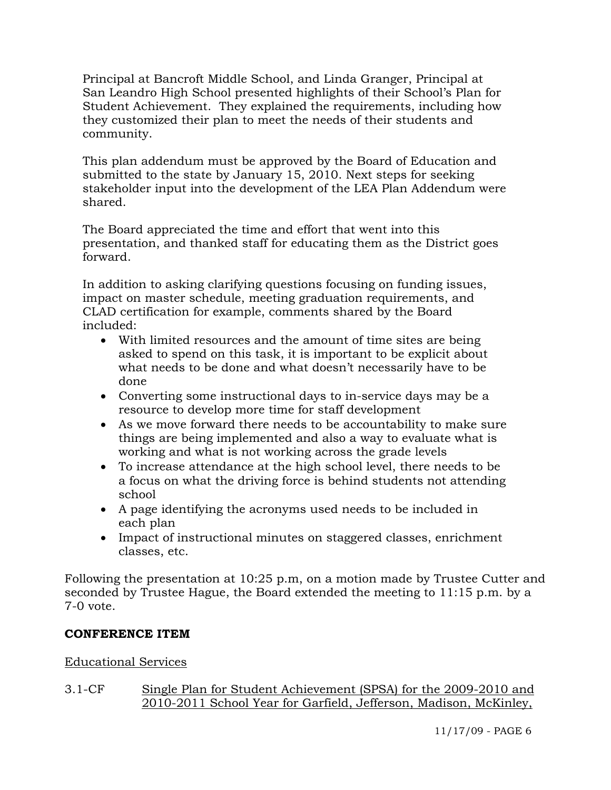Principal at Bancroft Middle School, and Linda Granger, Principal at San Leandro High School presented highlights of their School's Plan for Student Achievement. They explained the requirements, including how they customized their plan to meet the needs of their students and community.

 This plan addendum must be approved by the Board of Education and submitted to the state by January 15, 2010. Next steps for seeking stakeholder input into the development of the LEA Plan Addendum were shared.

 The Board appreciated the time and effort that went into this presentation, and thanked staff for educating them as the District goes forward.

 In addition to asking clarifying questions focusing on funding issues, impact on master schedule, meeting graduation requirements, and CLAD certification for example, comments shared by the Board included:

- With limited resources and the amount of time sites are being asked to spend on this task, it is important to be explicit about what needs to be done and what doesn't necessarily have to be done
- Converting some instructional days to in-service days may be a resource to develop more time for staff development
- As we move forward there needs to be accountability to make sure things are being implemented and also a way to evaluate what is working and what is not working across the grade levels
- To increase attendance at the high school level, there needs to be a focus on what the driving force is behind students not attending school
- A page identifying the acronyms used needs to be included in each plan
- Impact of instructional minutes on staggered classes, enrichment classes, etc.

Following the presentation at 10:25 p.m, on a motion made by Trustee Cutter and seconded by Trustee Hague, the Board extended the meeting to 11:15 p.m. by a 7-0 vote.

# **CONFERENCE ITEM**

# Educational Services

# 3.1-CF Single Plan for Student Achievement (SPSA) for the 2009-2010 and 2010-2011 School Year for Garfield, Jefferson, Madison, McKinley,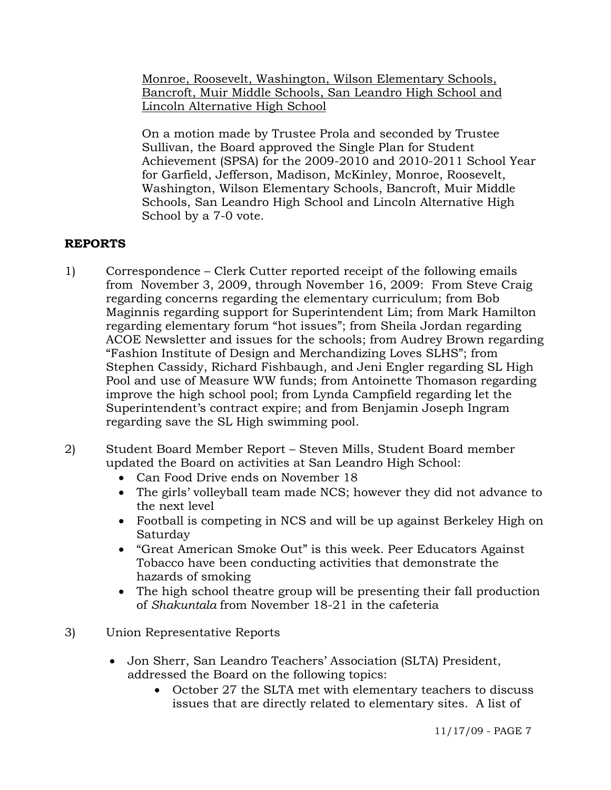Monroe, Roosevelt, Washington, Wilson Elementary Schools, Bancroft, Muir Middle Schools, San Leandro High School and Lincoln Alternative High School

On a motion made by Trustee Prola and seconded by Trustee Sullivan, the Board approved the Single Plan for Student Achievement (SPSA) for the 2009-2010 and 2010-2011 School Year for Garfield, Jefferson, Madison, McKinley, Monroe, Roosevelt, Washington, Wilson Elementary Schools, Bancroft, Muir Middle Schools, San Leandro High School and Lincoln Alternative High School by a 7-0 vote.

# **REPORTS**

- 1) Correspondence Clerk Cutter reported receipt of the following emails from November 3, 2009, through November 16, 2009: From Steve Craig regarding concerns regarding the elementary curriculum; from Bob Maginnis regarding support for Superintendent Lim; from Mark Hamilton regarding elementary forum "hot issues"; from Sheila Jordan regarding ACOE Newsletter and issues for the schools; from Audrey Brown regarding "Fashion Institute of Design and Merchandizing Loves SLHS"; from Stephen Cassidy, Richard Fishbaugh, and Jeni Engler regarding SL High Pool and use of Measure WW funds; from Antoinette Thomason regarding improve the high school pool; from Lynda Campfield regarding let the Superintendent's contract expire; and from Benjamin Joseph Ingram regarding save the SL High swimming pool.
- 2) Student Board Member Report Steven Mills, Student Board member updated the Board on activities at San Leandro High School:
	- Can Food Drive ends on November 18
	- The girls' volleyball team made NCS; however they did not advance to the next level
	- Football is competing in NCS and will be up against Berkeley High on Saturday
	- "Great American Smoke Out" is this week. Peer Educators Against Tobacco have been conducting activities that demonstrate the hazards of smoking
	- The high school theatre group will be presenting their fall production of *Shakuntala* from November 18-21 in the cafeteria
- 3) Union Representative Reports
	- Jon Sherr, San Leandro Teachers' Association (SLTA) President, addressed the Board on the following topics:
		- October 27 the SLTA met with elementary teachers to discuss issues that are directly related to elementary sites. A list of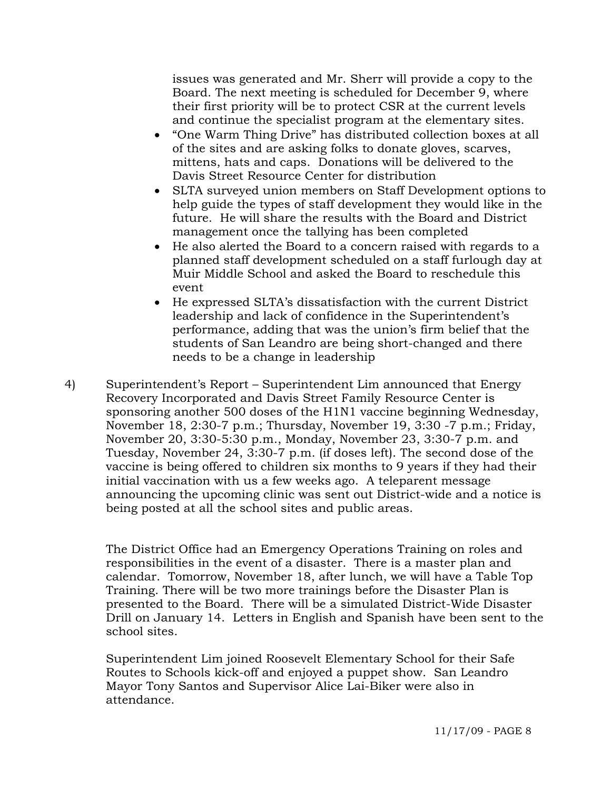issues was generated and Mr. Sherr will provide a copy to the Board. The next meeting is scheduled for December 9, where their first priority will be to protect CSR at the current levels and continue the specialist program at the elementary sites.

- "One Warm Thing Drive" has distributed collection boxes at all of the sites and are asking folks to donate gloves, scarves, mittens, hats and caps. Donations will be delivered to the Davis Street Resource Center for distribution
- SLTA surveyed union members on Staff Development options to help guide the types of staff development they would like in the future. He will share the results with the Board and District management once the tallying has been completed
- He also alerted the Board to a concern raised with regards to a planned staff development scheduled on a staff furlough day at Muir Middle School and asked the Board to reschedule this event
- He expressed SLTA's dissatisfaction with the current District leadership and lack of confidence in the Superintendent's performance, adding that was the union's firm belief that the students of San Leandro are being short-changed and there needs to be a change in leadership
- 4) Superintendent's Report Superintendent Lim announced that Energy Recovery Incorporated and Davis Street Family Resource Center is sponsoring another 500 doses of the H1N1 vaccine beginning Wednesday, November 18, 2:30-7 p.m.; Thursday, November 19, 3:30 -7 p.m.; Friday, November 20, 3:30-5:30 p.m., Monday, November 23, 3:30-7 p.m. and Tuesday, November 24, 3:30-7 p.m. (if doses left). The second dose of the vaccine is being offered to children six months to 9 years if they had their initial vaccination with us a few weeks ago. A teleparent message announcing the upcoming clinic was sent out District-wide and a notice is being posted at all the school sites and public areas.

The District Office had an Emergency Operations Training on roles and responsibilities in the event of a disaster. There is a master plan and calendar. Tomorrow, November 18, after lunch, we will have a Table Top Training. There will be two more trainings before the Disaster Plan is presented to the Board. There will be a simulated District-Wide Disaster Drill on January 14. Letters in English and Spanish have been sent to the school sites.

Superintendent Lim joined Roosevelt Elementary School for their Safe Routes to Schools kick-off and enjoyed a puppet show. San Leandro Mayor Tony Santos and Supervisor Alice Lai-Biker were also in attendance.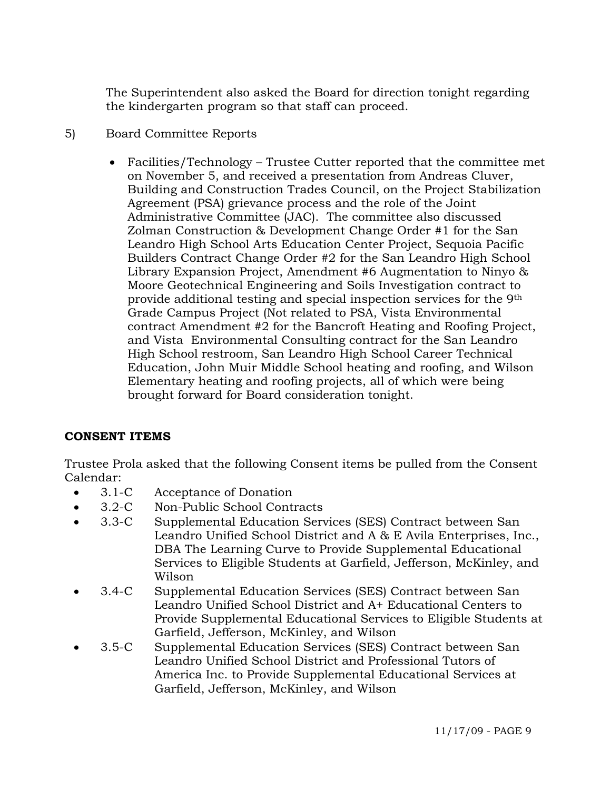The Superintendent also asked the Board for direction tonight regarding the kindergarten program so that staff can proceed.

- 5) Board Committee Reports
	- Facilities/Technology Trustee Cutter reported that the committee met on November 5, and received a presentation from Andreas Cluver, Building and Construction Trades Council, on the Project Stabilization Agreement (PSA) grievance process and the role of the Joint Administrative Committee (JAC). The committee also discussed Zolman Construction & Development Change Order #1 for the San Leandro High School Arts Education Center Project, Sequoia Pacific Builders Contract Change Order #2 for the San Leandro High School Library Expansion Project, Amendment #6 Augmentation to Ninyo & Moore Geotechnical Engineering and Soils Investigation contract to provide additional testing and special inspection services for the 9th Grade Campus Project (Not related to PSA, Vista Environmental contract Amendment #2 for the Bancroft Heating and Roofing Project, and Vista Environmental Consulting contract for the San Leandro High School restroom, San Leandro High School Career Technical Education, John Muir Middle School heating and roofing, and Wilson Elementary heating and roofing projects, all of which were being brought forward for Board consideration tonight.

# **CONSENT ITEMS**

Trustee Prola asked that the following Consent items be pulled from the Consent Calendar:

- 3.1-C Acceptance of Donation
- 3.2-C Non-Public School Contracts
- 3.3-C Supplemental Education Services (SES) Contract between San Leandro Unified School District and A & E Avila Enterprises, Inc., DBA The Learning Curve to Provide Supplemental Educational Services to Eligible Students at Garfield, Jefferson, McKinley, and Wilson
- 3.4-C Supplemental Education Services (SES) Contract between San Leandro Unified School District and A+ Educational Centers to Provide Supplemental Educational Services to Eligible Students at Garfield, Jefferson, McKinley, and Wilson
- 3.5-C Supplemental Education Services (SES) Contract between San Leandro Unified School District and Professional Tutors of America Inc. to Provide Supplemental Educational Services at Garfield, Jefferson, McKinley, and Wilson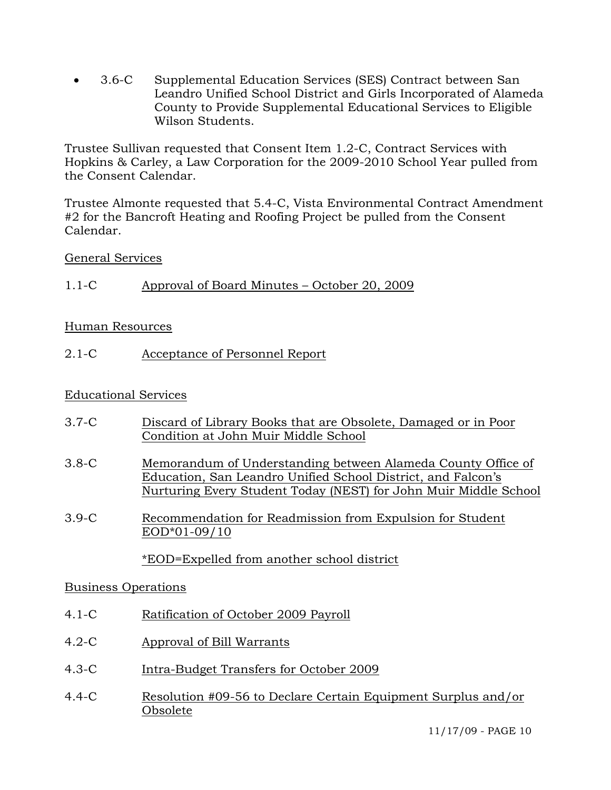• 3.6-C Supplemental Education Services (SES) Contract between San Leandro Unified School District and Girls Incorporated of Alameda County to Provide Supplemental Educational Services to Eligible Wilson Students.

Trustee Sullivan requested that Consent Item 1.2-C, Contract Services with Hopkins & Carley, a Law Corporation for the 2009-2010 School Year pulled from the Consent Calendar.

Trustee Almonte requested that 5.4-C, Vista Environmental Contract Amendment #2 for the Bancroft Heating and Roofing Project be pulled from the Consent Calendar.

# General Services

1.1-C Approval of Board Minutes – October 20, 2009

# Human Resources

2.1-C Acceptance of Personnel Report

# Educational Services

| $3.7-C$ | Discard of Library Books that are Obsolete, Damaged or in Poor<br>Condition at John Muir Middle School                                                                                           |
|---------|--------------------------------------------------------------------------------------------------------------------------------------------------------------------------------------------------|
| $3.8-C$ | Memorandum of Understanding between Alameda County Office of<br>Education, San Leandro Unified School District, and Falcon's<br>Nurturing Every Student Today (NEST) for John Muir Middle School |
| $3.9-C$ | Recommendation for Readmission from Expulsion for Student<br>EOD*01-09/10                                                                                                                        |
|         | *EOD=Expelled from another school district                                                                                                                                                       |
|         |                                                                                                                                                                                                  |

# Business Operations

- 4.1-C Ratification of October 2009 Payroll
- 4.2-C Approval of Bill Warrants
- 4.3-C Intra-Budget Transfers for October 2009
- 4.4-C Resolution #09-56 to Declare Certain Equipment Surplus and/or Obsolete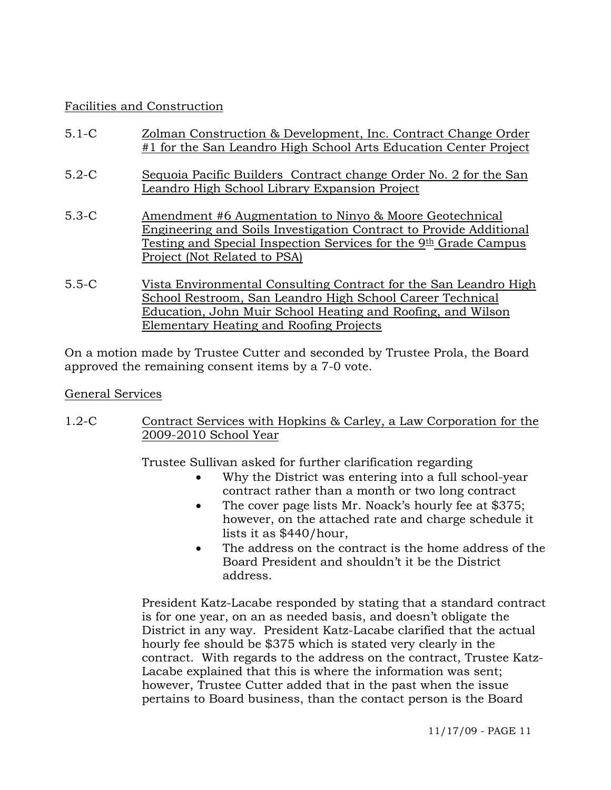# Facilities and Construction

| $5.1 - C$ | Zolman Construction & Development, Inc. Contract Change Order<br>#1 for the San Leandro High School Arts Education Center Project                                                                                                             |
|-----------|-----------------------------------------------------------------------------------------------------------------------------------------------------------------------------------------------------------------------------------------------|
| $5.2-C$   | Sequoia Pacific Builders Contract change Order No. 2 for the San<br>Leandro High School Library Expansion Project                                                                                                                             |
| $5.3-C$   | Amendment #6 Augmentation to Ninyo & Moore Geotechnical<br>Engineering and Soils Investigation Contract to Provide Additional<br>Testing and Special Inspection Services for the 9 <sup>th</sup> Grade Campus<br>Project (Not Related to PSA) |
| $5.5-C$   | Vista Environmental Consulting Contract for the San Leandro High<br>School Restroom, San Leandro High School Career Technical<br>Education, John Muir School Heating and Roofing, and Wilson                                                  |

On a motion made by Trustee Cutter and seconded by Trustee Prola, the Board approved the remaining consent items by a 7-0 vote.

Elementary Heating and Roofing Projects

# General Services

1.2-C Contract Services with Hopkins & Carley, a Law Corporation for the 2009-2010 School Year

Trustee Sullivan asked for further clarification regarding

- Why the District was entering into a full school-year contract rather than a month or two long contract
- The cover page lists Mr. Noack's hourly fee at \$375; however, on the attached rate and charge schedule it lists it as \$440/hour,
- The address on the contract is the home address of the Board President and shouldn't it be the District address.

President Katz-Lacabe responded by stating that a standard contract is for one year, on an as needed basis, and doesn't obligate the District in any way. President Katz-Lacabe clarified that the actual hourly fee should be \$375 which is stated very clearly in the contract. With regards to the address on the contract, Trustee Katz-Lacabe explained that this is where the information was sent; however, Trustee Cutter added that in the past when the issue pertains to Board business, than the contact person is the Board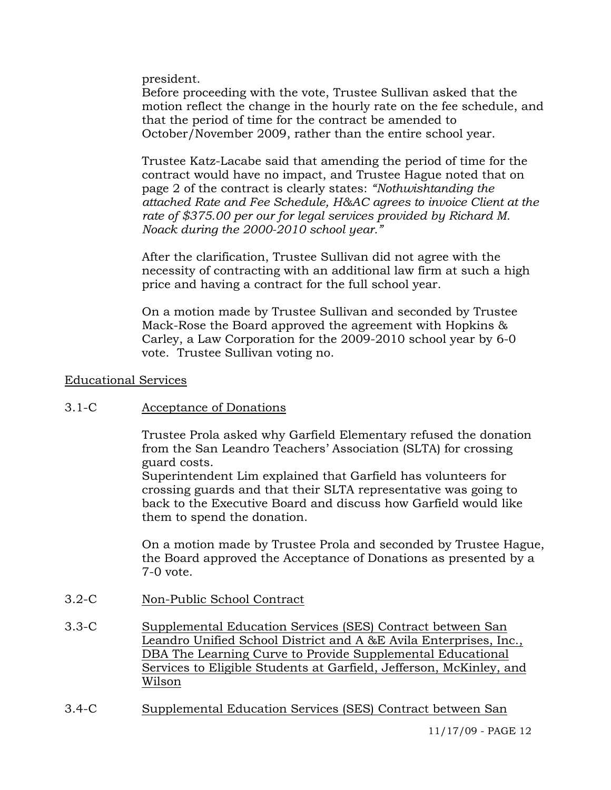president.

Before proceeding with the vote, Trustee Sullivan asked that the motion reflect the change in the hourly rate on the fee schedule, and that the period of time for the contract be amended to October/November 2009, rather than the entire school year.

Trustee Katz-Lacabe said that amending the period of time for the contract would have no impact, and Trustee Hague noted that on page 2 of the contract is clearly states: *"Nothwishtanding the attached Rate and Fee Schedule, H&AC agrees to invoice Client at the rate of \$375.00 per our for legal services provided by Richard M. Noack during the 2000-2010 school year."*

After the clarification, Trustee Sullivan did not agree with the necessity of contracting with an additional law firm at such a high price and having a contract for the full school year.

On a motion made by Trustee Sullivan and seconded by Trustee Mack-Rose the Board approved the agreement with Hopkins & Carley, a Law Corporation for the 2009-2010 school year by 6-0 vote. Trustee Sullivan voting no.

### Educational Services

3.1-C Acceptance of Donations

Trustee Prola asked why Garfield Elementary refused the donation from the San Leandro Teachers' Association (SLTA) for crossing guard costs.

Superintendent Lim explained that Garfield has volunteers for crossing guards and that their SLTA representative was going to back to the Executive Board and discuss how Garfield would like them to spend the donation.

On a motion made by Trustee Prola and seconded by Trustee Hague, the Board approved the Acceptance of Donations as presented by a 7-0 vote.

- 3.2-C Non-Public School Contract
- 3.3-C Supplemental Education Services (SES) Contract between San Leandro Unified School District and A &E Avila Enterprises, Inc., DBA The Learning Curve to Provide Supplemental Educational Services to Eligible Students at Garfield, Jefferson, McKinley, and Wilson
- 3.4-C Supplemental Education Services (SES) Contract between San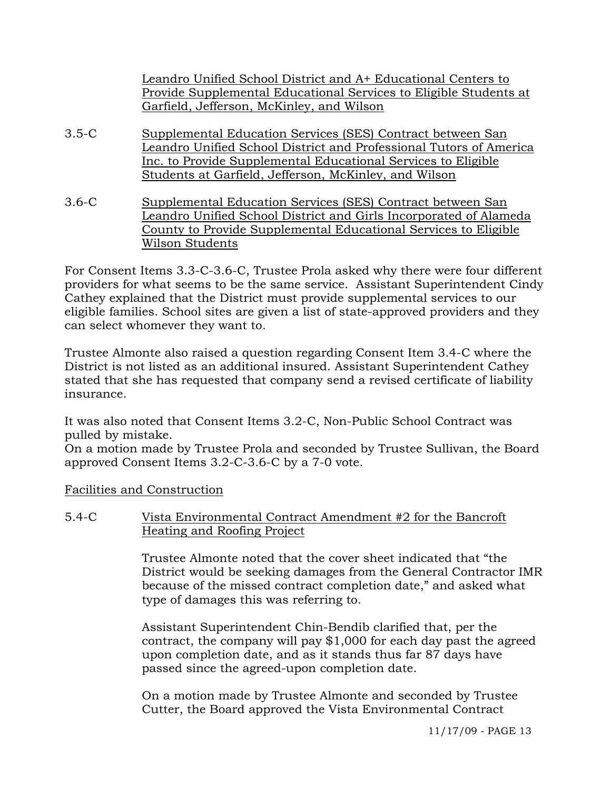Leandro Unified School District and A+ Educational Centers to Provide Supplemental Educational Services to Eligible Students at Garfield, Jefferson, McKinley, and Wilson

- 3.5-C Supplemental Education Services (SES) Contract between San Leandro Unified School District and Professional Tutors of America Inc. to Provide Supplemental Educational Services to Eligible Students at Garfield, Jefferson, McKinley, and Wilson
- 3.6-C Supplemental Education Services (SES) Contract between San Leandro Unified School District and Girls Incorporated of Alameda County to Provide Supplemental Educational Services to Eligible Wilson Students

For Consent Items 3.3-C-3.6-C, Trustee Prola asked why there were four different providers for what seems to be the same service. Assistant Superintendent Cindy Cathey explained that the District must provide supplemental services to our eligible families. School sites are given a list of state-approved providers and they can select whomever they want to.

Trustee Almonte also raised a question regarding Consent Item 3.4-C where the District is not listed as an additional insured. Assistant Superintendent Cathey stated that she has requested that company send a revised certificate of liability insurance.

It was also noted that Consent Items 3.2-C, Non-Public School Contract was pulled by mistake.

On a motion made by Trustee Prola and seconded by Trustee Sullivan, the Board approved Consent Items 3.2-C-3.6-C by a 7-0 vote.

Facilities and Construction

# 5.4-C Vista Environmental Contract Amendment #2 for the Bancroft Heating and Roofing Project

Trustee Almonte noted that the cover sheet indicated that "the District would be seeking damages from the General Contractor IMR because of the missed contract completion date," and asked what type of damages this was referring to.

Assistant Superintendent Chin-Bendib clarified that, per the contract, the company will pay \$1,000 for each day past the agreed upon completion date, and as it stands thus far 87 days have passed since the agreed-upon completion date.

On a motion made by Trustee Almonte and seconded by Trustee Cutter, the Board approved the Vista Environmental Contract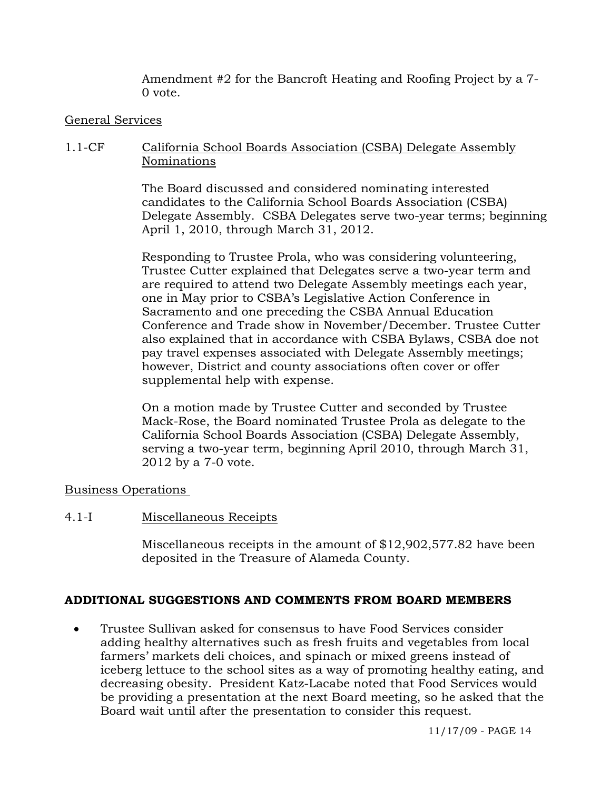Amendment #2 for the Bancroft Heating and Roofing Project by a 7- 0 vote.

# General Services

# 1.1-CF California School Boards Association (CSBA) Delegate Assembly Nominations

The Board discussed and considered nominating interested candidates to the California School Boards Association (CSBA) Delegate Assembly. CSBA Delegates serve two-year terms; beginning April 1, 2010, through March 31, 2012.

Responding to Trustee Prola, who was considering volunteering, Trustee Cutter explained that Delegates serve a two-year term and are required to attend two Delegate Assembly meetings each year, one in May prior to CSBA's Legislative Action Conference in Sacramento and one preceding the CSBA Annual Education Conference and Trade show in November/December. Trustee Cutter also explained that in accordance with CSBA Bylaws, CSBA doe not pay travel expenses associated with Delegate Assembly meetings; however, District and county associations often cover or offer supplemental help with expense.

On a motion made by Trustee Cutter and seconded by Trustee Mack-Rose, the Board nominated Trustee Prola as delegate to the California School Boards Association (CSBA) Delegate Assembly, serving a two-year term, beginning April 2010, through March 31, 2012 by a 7-0 vote.

# Business Operations

# 4.1-I Miscellaneous Receipts

Miscellaneous receipts in the amount of \$12,902,577.82 have been deposited in the Treasure of Alameda County.

# **ADDITIONAL SUGGESTIONS AND COMMENTS FROM BOARD MEMBERS**

• Trustee Sullivan asked for consensus to have Food Services consider adding healthy alternatives such as fresh fruits and vegetables from local farmers' markets deli choices, and spinach or mixed greens instead of iceberg lettuce to the school sites as a way of promoting healthy eating, and decreasing obesity. President Katz-Lacabe noted that Food Services would be providing a presentation at the next Board meeting, so he asked that the Board wait until after the presentation to consider this request.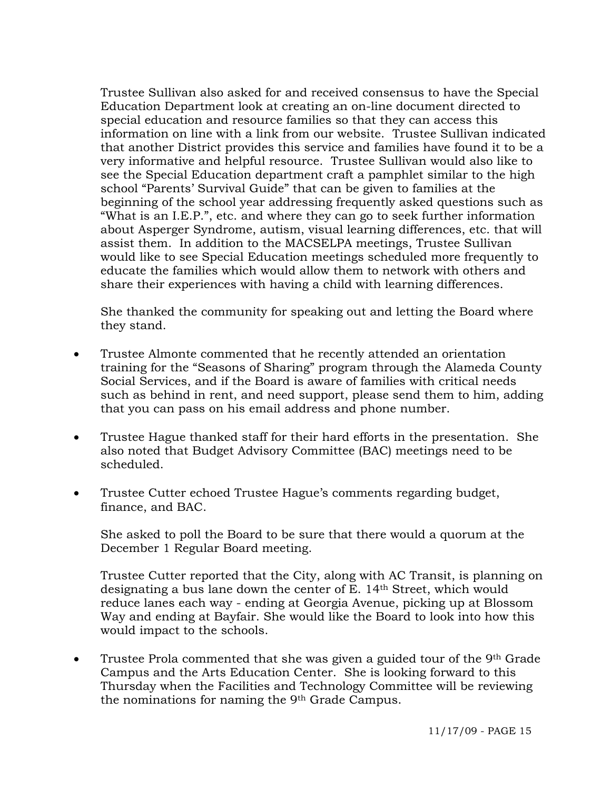Trustee Sullivan also asked for and received consensus to have the Special Education Department look at creating an on-line document directed to special education and resource families so that they can access this information on line with a link from our website. Trustee Sullivan indicated that another District provides this service and families have found it to be a very informative and helpful resource. Trustee Sullivan would also like to see the Special Education department craft a pamphlet similar to the high school "Parents' Survival Guide" that can be given to families at the beginning of the school year addressing frequently asked questions such as "What is an I.E.P.", etc. and where they can go to seek further information about Asperger Syndrome, autism, visual learning differences, etc. that will assist them. In addition to the MACSELPA meetings, Trustee Sullivan would like to see Special Education meetings scheduled more frequently to educate the families which would allow them to network with others and share their experiences with having a child with learning differences.

 She thanked the community for speaking out and letting the Board where they stand.

- Trustee Almonte commented that he recently attended an orientation training for the "Seasons of Sharing" program through the Alameda County Social Services, and if the Board is aware of families with critical needs such as behind in rent, and need support, please send them to him, adding that you can pass on his email address and phone number.
- Trustee Hague thanked staff for their hard efforts in the presentation. She also noted that Budget Advisory Committee (BAC) meetings need to be scheduled.
- Trustee Cutter echoed Trustee Hague's comments regarding budget, finance, and BAC.

She asked to poll the Board to be sure that there would a quorum at the December 1 Regular Board meeting.

Trustee Cutter reported that the City, along with AC Transit, is planning on designating a bus lane down the center of E. 14th Street, which would reduce lanes each way - ending at Georgia Avenue, picking up at Blossom Way and ending at Bayfair. She would like the Board to look into how this would impact to the schools.

• Trustee Prola commented that she was given a guided tour of the 9<sup>th</sup> Grade Campus and the Arts Education Center. She is looking forward to this Thursday when the Facilities and Technology Committee will be reviewing the nominations for naming the 9th Grade Campus.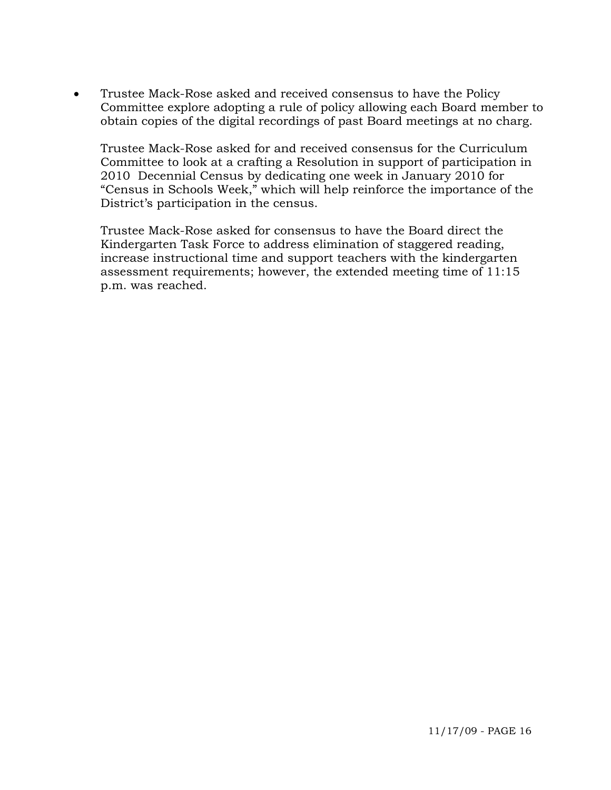• Trustee Mack-Rose asked and received consensus to have the Policy Committee explore adopting a rule of policy allowing each Board member to obtain copies of the digital recordings of past Board meetings at no charg.

Trustee Mack-Rose asked for and received consensus for the Curriculum Committee to look at a crafting a Resolution in support of participation in 2010 Decennial Census by dedicating one week in January 2010 for "Census in Schools Week," which will help reinforce the importance of the District's participation in the census.

Trustee Mack-Rose asked for consensus to have the Board direct the Kindergarten Task Force to address elimination of staggered reading, increase instructional time and support teachers with the kindergarten assessment requirements; however, the extended meeting time of 11:15 p.m. was reached.